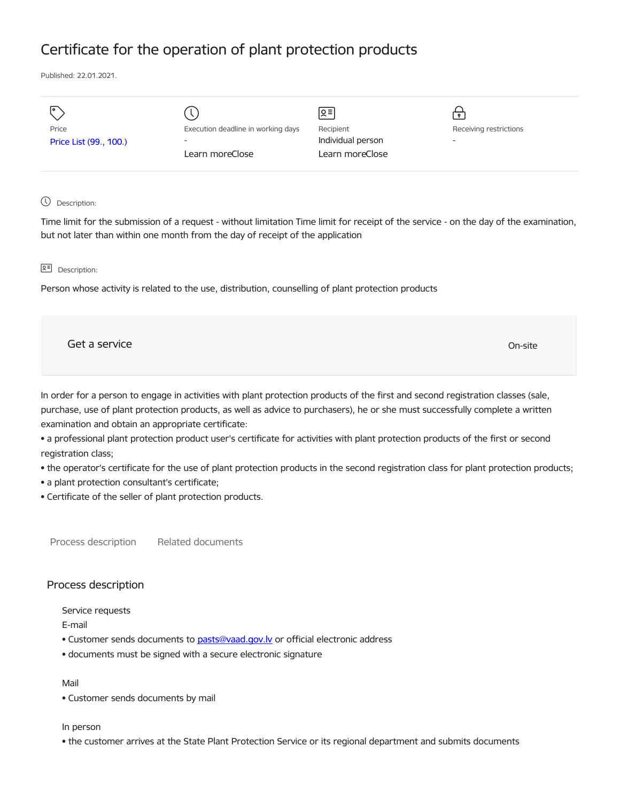# Certificate for the operation of plant protection products

Published: 22.01.2021.

| ॎ<br>Price<br>Price List (99., 100.) | Execution deadline in working days<br>$\overline{\phantom{a}}$<br>Learn moreClose | Զ≡ <br>Recipient<br>Individual person<br>Learn moreClose | Receiving restrictions<br>- |
|--------------------------------------|-----------------------------------------------------------------------------------|----------------------------------------------------------|-----------------------------|
|                                      |                                                                                   |                                                          |                             |

## Description:

Time limit for the submission of a request - without limitation Time limit for receipt of the service - on the day of the examination, but not later than within one month from the day of receipt of the application

## **Q<sup></sup> Description:**

Person whose activity is related to the use, distribution, counselling of plant protection products

| Get a service | On-site |  |
|---------------|---------|--|
|               |         |  |

In order for a person to engage in activities with plant protection products of the first and second registration classes (sale, purchase, use of plant protection products, as well as advice to purchasers), he or she must successfully complete a written examination and obtain an appropriate certificate:

• a professional plant protection product user's certificate for activities with plant protection products of the first or second registration class;

• the operator's certificate for the use of plant protection products in the second registration class for plant protection products;

- a plant protection consultant's certificate;
- Certificate of the seller of plant protection products.

Process description Related documents

# Process description

Service requests

E-mail

- Customer sends documents to [pasts@vaad.gov.lv](mailto:pasts@vaad.gov.lv) or official electronic address
- documents must be signed with a secure electronic signature

#### Mail

• Customer sends documents by mail

## In person

• the customer arrives at the State Plant Protection Service or its regional department and submits documents